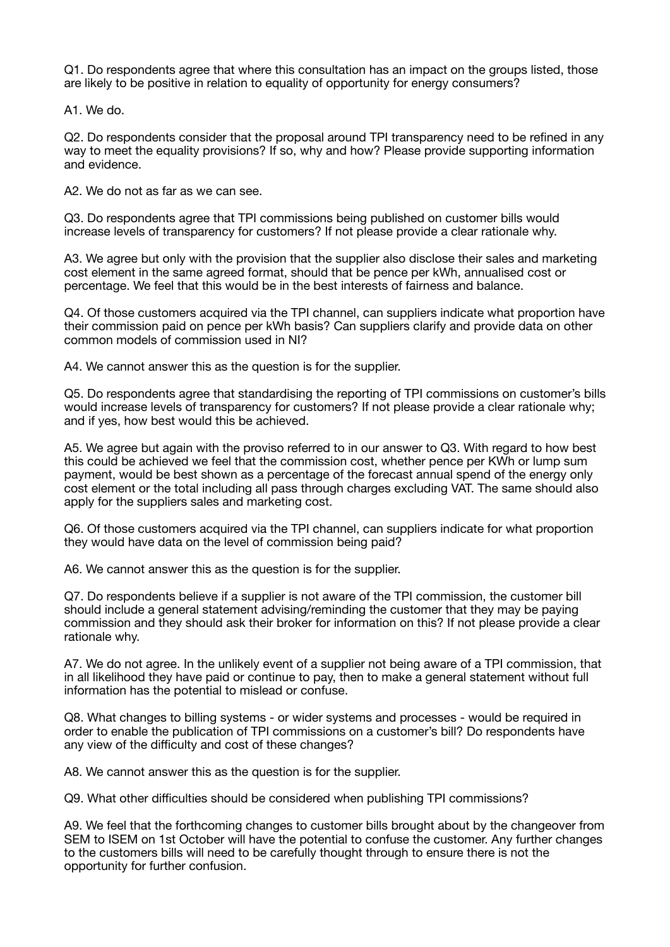Q1. Do respondents agree that where this consultation has an impact on the groups listed, those are likely to be positive in relation to equality of opportunity for energy consumers?

A1. We do.

Q2. Do respondents consider that the proposal around TPI transparency need to be refined in any way to meet the equality provisions? If so, why and how? Please provide supporting information and evidence.

A2. We do not as far as we can see.

Q3. Do respondents agree that TPI commissions being published on customer bills would increase levels of transparency for customers? If not please provide a clear rationale why.

A3. We agree but only with the provision that the supplier also disclose their sales and marketing cost element in the same agreed format, should that be pence per kWh, annualised cost or percentage. We feel that this would be in the best interests of fairness and balance.

Q4. Of those customers acquired via the TPI channel, can suppliers indicate what proportion have their commission paid on pence per kWh basis? Can suppliers clarify and provide data on other common models of commission used in NI?

A4. We cannot answer this as the question is for the supplier.

Q5. Do respondents agree that standardising the reporting of TPI commissions on customer's bills would increase levels of transparency for customers? If not please provide a clear rationale why; and if yes, how best would this be achieved.

A5. We agree but again with the proviso referred to in our answer to Q3. With regard to how best this could be achieved we feel that the commission cost, whether pence per KWh or lump sum payment, would be best shown as a percentage of the forecast annual spend of the energy only cost element or the total including all pass through charges excluding VAT. The same should also apply for the suppliers sales and marketing cost.

Q6. Of those customers acquired via the TPI channel, can suppliers indicate for what proportion they would have data on the level of commission being paid?

A6. We cannot answer this as the question is for the supplier.

Q7. Do respondents believe if a supplier is not aware of the TPI commission, the customer bill should include a general statement advising/reminding the customer that they may be paying commission and they should ask their broker for information on this? If not please provide a clear rationale why.

A7. We do not agree. In the unlikely event of a supplier not being aware of a TPI commission, that in all likelihood they have paid or continue to pay, then to make a general statement without full information has the potential to mislead or confuse.

Q8. What changes to billing systems - or wider systems and processes - would be required in order to enable the publication of TPI commissions on a customer's bill? Do respondents have any view of the difficulty and cost of these changes?

A8. We cannot answer this as the question is for the supplier.

Q9. What other difficulties should be considered when publishing TPI commissions?

A9. We feel that the forthcoming changes to customer bills brought about by the changeover from SEM to ISEM on 1st October will have the potential to confuse the customer. Any further changes to the customers bills will need to be carefully thought through to ensure there is not the opportunity for further confusion.